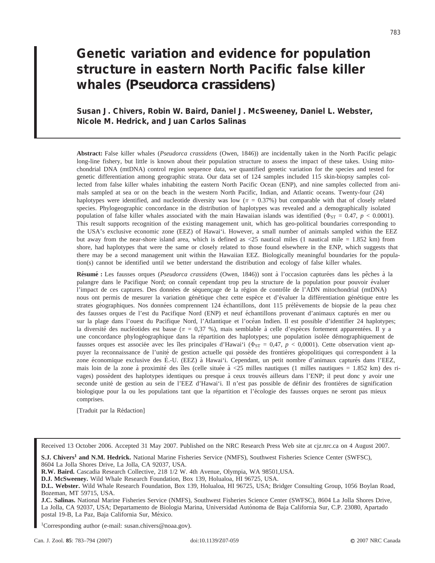# **Genetic variation and evidence for population structure in eastern North Pacific false killer whales (***Pseudorca crassidens***)**

# **Susan J. Chivers, Robin W. Baird, Daniel J. McSweeney, Daniel L. Webster, Nicole M. Hedrick, and Juan Carlos Salinas**

**Abstract:** False killer whales (*Pseudorca crassidens* (Owen, 1846)) are incidentally taken in the North Pacific pelagic long-line fishery, but little is known about their population structure to assess the impact of these takes. Using mitochondrial DNA (mtDNA) control region sequence data, we quantified genetic variation for the species and tested for genetic differentiation among geographic strata. Our data set of 124 samples included 115 skin-biopsy samples collected from false killer whales inhabiting the eastern North Pacific Ocean (ENP), and nine samples collected from animals sampled at sea or on the beach in the western North Pacific, Indian, and Atlantic oceans. Twenty-four (24) haplotypes were identified, and nucleotide diversity was low ( $\pi = 0.37\%$ ) but comparable with that of closely related species. Phylogeographic concordance in the distribution of haplotypes was revealed and a demographically isolated population of false killer whales associated with the main Hawaiian islands was identified ( $\Phi_{ST} = 0.47$ ,  $p < 0.0001$ ). This result supports recognition of the existing management unit, which has geo-political boundaries corresponding to the USA's exclusive economic zone (EEZ) of Hawai'i. However, a small number of animals sampled within the EEZ but away from the near-shore island area, which is defined as  $\langle 25 \rangle$  nautical miles (1 nautical mile = 1.852 km) from shore, had haplotypes that were the same or closely related to those found elsewhere in the ENP, which suggests that there may be a second management unit within the Hawaiian EEZ. Biologically meaningful boundaries for the population(s) cannot be identified until we better understand the distribution and ecology of false killer whales.

Résumé : Les fausses orques (*Pseudorca crassidens* (Owen, 1846)) sont à l'occasion capturées dans les pêches à la palangre dans le Pacifique Nord; on connaît cependant trop peu la structure de la population pour pouvoir évaluer l'impact de ces captures. Des données de séquençage de la région de contrôle de l'ADN mitochondrial (mtDNA) nous ont permis de mesurer la variation génétique chez cette espèce et d'évaluer la différentiation génétique entre les strates géographiques. Nos données comprennent 124 échantillons, dont 115 prélèvements de biopsie de la peau chez des fausses orques de l'est du Pacifique Nord (ENP) et neuf échantillons provenant d'animaux capturés en mer ou sur la plage dans l'ouest du Pacifique Nord, l'Atlantique et l'océan Indien. Il est possible d'identifier 24 haplotypes; la diversité des nucléotides est basse ( $\pi = 0.37$  %), mais semblable à celle d'espèces fortement apparentées. Il y a une concordance phylogéographique dans la répartition des haplotypes; une population isolée démographiquement de fausses orques est associée avec les îles principales d'Hawai'i ( $\Phi_{ST} = 0.47$ ,  $p < 0.0001$ ). Cette observation vient appuyer la reconnaissance de l'unité de gestion actuelle qui possède des frontières géopolitiques qui correspondent à la zone économique exclusive des É.-U. (EEZ) à Hawai'i. Cependant, un petit nombre d'animaux capturés dans l'EEZ, mais loin de la zone à proximité des îles (celle située à <25 milles nautiques (1 milles nautiques = 1.852 km) des rivages) possèdent des haplotypes identiques ou presque à ceux trouvés ailleurs dans l'ENP; il peut donc y avoir une seconde unité de gestion au sein de l'EEZ d'Hawai'i. Il n'est pas possible de définir des frontières de signification biologique pour la ou les populations tant que la répartition et l'écologie des fausses orques ne seront pas mieux comprises.

[Traduit par la Rédaction]

Received 13 October 2006. Accepted 31 May 2007. Published on the NRC Research Press Web site at cjz.nrc.ca on 4 August 2007.

**S.J. Chivers1 and N.M. Hedrick.** National Marine Fisheries Service (NMFS), Southwest Fisheries Science Center (SWFSC), 8604 La Jolla Shores Drive, La Jolla, CA 92037, USA.

**R.W. Baird.** Cascadia Research Collective, 218 1/2 W. 4th Avenue, Olympia, WA 98501,USA.

**D.J. McSweeney.** Wild Whale Research Foundation, Box 139, Holualoa, HI 96725, USA.

**D.L. Webster.** Wild Whale Research Foundation, Box 139, Holualoa, HI 96725, USA; Bridger Consulting Group, 1056 Boylan Road, Bozeman, MT 59715, USA.

**J.C. Salinas.** National Marine Fisheries Service (NMFS), Southwest Fisheries Science Center (SWFSC), 8604 La Jolla Shores Drive, La Jolla, CA 92037, USA; Departamento de Biologia Marina, Universidad Autónoma de Baja California Sur, C.P. 23080, Apartado postal 19-B, La Paz, Baja California Sur, México.

<sup>1</sup>Corresponding author (e-mail: susan.chivers@noaa.gov).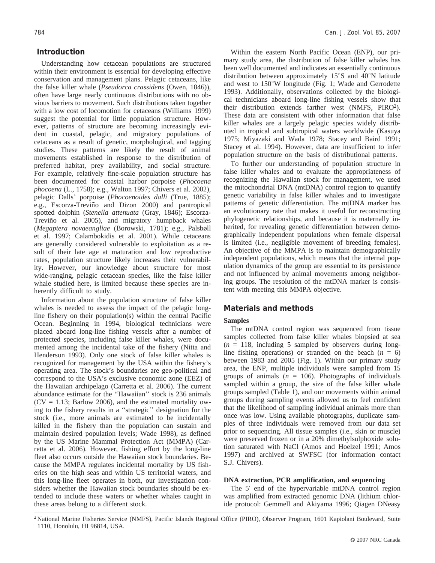# **Introduction**

Understanding how cetacean populations are structured within their environment is essential for developing effective conservation and management plans. Pelagic cetaceans, like the false killer whale (*Pseudorca crassidens* (Owen, 1846)), often have large nearly continuous distributions with no obvious barriers to movement. Such distributions taken together with a low cost of locomotion for cetaceans (Williams 1999) suggest the potential for little population structure. However, patterns of structure are becoming increasingly evident in coastal, pelagic, and migratory populations of cetaceans as a result of genetic, morphological, and tagging studies. These patterns are likely the result of animal movements established in response to the distribution of preferred habitat, prey availability, and social structure. For example, relatively fine-scale population structure has been documented for coastal harbor porpoise (*Phocoena phocoena* (L., 1758); e.g., Walton 1997; Chivers et al. 2002), pelagic Dalls' porpoise (*Phocoenoides dalli* (True, 1885); e.g., Escorza-Treviño and Dizon 2000) and pantropical spotted dolphin (*Stenella attenuata* (Gray, 1846); Escorza-Treviño et al. 2005), and migratory humpback whales (*Megaptera novaeangliae* (Borowski, 1781); e.g., Palsbøll et al. 1997; Calambokidis et al. 2001). While cetaceans are generally considered vulnerable to exploitation as a result of their late age at maturation and low reproductive rates, population structure likely increases their vulnerability. However, our knowledge about structure for most wide-ranging, pelagic cetacean species, like the false killer whale studied here, is limited because these species are inherently difficult to study.

Information about the population structure of false killer whales is needed to assess the impact of the pelagic longline fishery on their population(s) within the central Pacific Ocean. Beginning in 1994, biological technicians were placed aboard long-line fishing vessels after a number of protected species, including false killer whales, were documented among the incidental take of the fishery (Nitta and Henderson 1993). Only one stock of false killer whales is recognized for management by the USA within the fishery's operating area. The stock's boundaries are geo-political and correspond to the USA's exclusive economic zone (EEZ) of the Hawaiian archipelago (Carretta et al. 2006). The current abundance estimate for the ''Hawaiian'' stock is 236 animals  $(CV = 1.13;$  Barlow 2006), and the estimated mortality owing to the fishery results in a ''strategic'' designation for the stock (i.e., more animals are estimated to be incidentally killed in the fishery than the population can sustain and maintain desired population levels; Wade 1998), as defined by the US Marine Mammal Protection Act (MMPA) (Carretta et al. 2006). However, fishing effort by the long-line fleet also occurs outside the Hawaiian stock boundaries. Because the MMPA regulates incidental mortality by US fisheries on the high seas and within US territorial waters, and this long-line fleet operates in both, our investigation considers whether the Hawaiian stock boundaries should be extended to include these waters or whether whales caught in these areas belong to a different stock.

Within the eastern North Pacific Ocean (ENP), our primary study area, the distribution of false killer whales has been well documented and indicates an essentially continuous distribution between approximately  $15^{\circ}$ S and  $40^{\circ}$ N latitude and west to  $150^{\circ}$ W longitude (Fig. 1; Wade and Gerrodette 1993). Additionally, observations collected by the biological technicians aboard long-line fishing vessels show that their distribution extends farther west (NMFS, PIRO<sup>2</sup>). These data are consistent with other information that false killer whales are a largely pelagic species widely distributed in tropical and subtropical waters worldwide (Kasuya 1975; Miyazaki and Wada 1978; Stacey and Baird 1991; Stacey et al. 1994). However, data are insufficient to infer population structure on the basis of distributional patterns.

To further our understanding of population structure in false killer whales and to evaluate the appropriateness of recognizing the Hawaiian stock for management, we used the mitochondrial DNA (mtDNA) control region to quantify genetic variability in false killer whales and to investigate patterns of genetic differentiation. The mtDNA marker has an evolutionary rate that makes it useful for reconstructing phylogenetic relationships, and because it is maternally inherited, for revealing genetic differentiation between demographically independent populations when female dispersal is limited (i.e., negligible movement of breeding females). An objective of the MMPA is to maintain demographically independent populations, which means that the internal population dynamics of the group are essential to its persistence and not influenced by animal movements among neighboring groups. The resolution of the mtDNA marker is consistent with meeting this MMPA objective.

# **Materials and methods**

#### **Samples**

The mtDNA control region was sequenced from tissue samples collected from false killer whales biopsied at sea  $(n = 118,$  including 5 sampled by observers during longline fishing operations) or stranded on the beach  $(n = 6)$ between 1983 and 2005 (Fig. 1). Within our primary study area, the ENP, multiple individuals were sampled from 15 groups of animals  $(n = 106)$ . Photographs of individuals sampled within a group, the size of the false killer whale groups sampled (Table 1), and our movements within animal groups during sampling events allowed us to feel confident that the likelihood of sampling individual animals more than once was low. Using available photographs, duplicate samples of three individuals were removed from our data set prior to sequencing. All tissue samples (i.e., skin or muscle) were preserved frozen or in a 20% dimethylsulphoxide solution saturated with NaCl (Amos and Hoelzel 1991; Amos 1997) and archived at SWFSC (for information contact S.J. Chivers).

#### **DNA extraction, PCR amplification, and sequencing**

The 5' end of the hypervariable mtDNA control region was amplified from extracted genomic DNA (lithium chloride protocol: Gemmell and Akiyama 1996; Qiagen DNeasy

<sup>&</sup>lt;sup>2</sup> National Marine Fisheries Service (NMFS), Pacific Islands Regional Office (PIRO), Observer Program, 1601 Kapiolani Boulevard, Suite 1110, Honolulu, HI 96814, USA.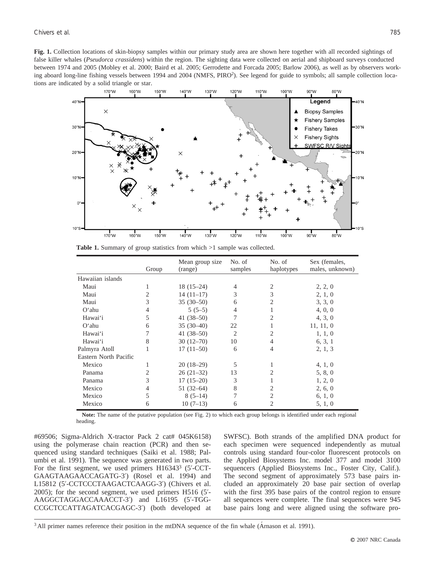**Fig. 1.** Collection locations of skin-biopsy samples within our primary study area are shown here together with all recorded sightings of false killer whales (*Pseudorca crassidens*) within the region. The sighting data were collected on aerial and shipboard surveys conducted between 1974 and 2005 (Mobley et al. 2000; Baird et al. 2005; Gerrodette and Forcada 2005; Barlow 2006), as well as by observers working aboard long-line fishing vessels between 1994 and 2004 (NMFS, PIRO<sup>2</sup>). See legend for guide to symbols; all sample collection locations are indicated by a solid triangle or star.



**Table 1.** Summary of group statistics from which  $>1$  sample was collected.

|                       | Group | Mean group size<br>(range) | No. of<br>samples | No. of<br>haplotypes | Sex (females,<br>males, unknown) |
|-----------------------|-------|----------------------------|-------------------|----------------------|----------------------------------|
| Hawaiian islands      |       |                            |                   |                      |                                  |
| Maui                  | 1     | $18(15-24)$                | 4                 | 2                    | 2, 2, 0                          |
| Maui                  |       | $14(11-17)$                | 3                 | 3                    | 2, 1, 0                          |
| Maui                  | 3     | $35(30-50)$                | 6                 | 2                    | 3, 3, 0                          |
| $O'$ ahu              | 4     | $5(5-5)$                   | 4                 |                      | 4, 0, 0                          |
| Hawai'i               | 5     | 41 $(38-50)$               | 7                 | 2                    | 4, 3, 0                          |
| $O'$ ahu              | 6     | $35(30-40)$                | 22                |                      | 11, 11, 0                        |
| Hawai'i               |       | 41 $(38-50)$               | $\overline{c}$    | 2                    | 1, 1, 0                          |
| Hawai'i               | 8     | $30(12-70)$                | 10                | 4                    | 6, 3, 1                          |
| Palmyra Atoll         |       | $17(11-50)$                | 6                 | 4                    | 2, 1, 3                          |
| Eastern North Pacific |       |                            |                   |                      |                                  |
| Mexico                |       | $20(18-29)$                | 5                 |                      | 4, 1, 0                          |
| Panama                | 2     | $26(21-32)$                | 13                | 2                    | 5, 8, 0                          |
| Panama                | 3     | $17(15-20)$                | 3                 |                      | 1, 2, 0                          |
| Mexico                | 4     | $51(32-64)$                | 8                 | 2                    | 2, 6, 0                          |
| Mexico                | 5     | $8(5-14)$                  | 7                 | 2                    | 6, 1, 0                          |
| Mexico                | 6     | $10(7-13)$                 | 6                 | 2                    | 5, 1, 0                          |

**Note:** The name of the putative population (see Fig. 2) to which each group belongs is identified under each regional heading.

#69506; Sigma-Aldrich X-tractor Pack 2 cat# 045K6158) using the polymerase chain reaction (PCR) and then sequenced using standard techniques (Saiki et al. 1988; Palumbi et al. 1991). The sequence was generated in two parts. For the first segment, we used primers H16343<sup>3</sup> (5'-CCT-GAAGTAAGAACCAGATG-3') (Rosel et al. 1994) and L15812 (5'-CCTCCCTAAGACTCAAGG-3') (Chivers et al. 2005); for the second segment, we used primers H516 (5'- AAGGCTAGGACCAAACCT-3') and L16195 (5'-TGG-CCGCTCCATTAGATCACGAGC-3') (both developed at SWFSC). Both strands of the amplified DNA product for each specimen were sequenced independently as mutual controls using standard four-color fluorescent protocols on the Applied Biosystems Inc. model 377 and model 3100 sequencers (Applied Biosystems Inc., Foster City, Calif.). The second segment of approximately 573 base pairs included an approximately 20 base pair section of overlap with the first 395 base pairs of the control region to ensure all sequences were complete. The final sequences were 945 base pairs long and were aligned using the software pro-

 $3$  All primer names reference their position in the mtDNA sequence of the fin whale (A $r$ nason et al. 1991).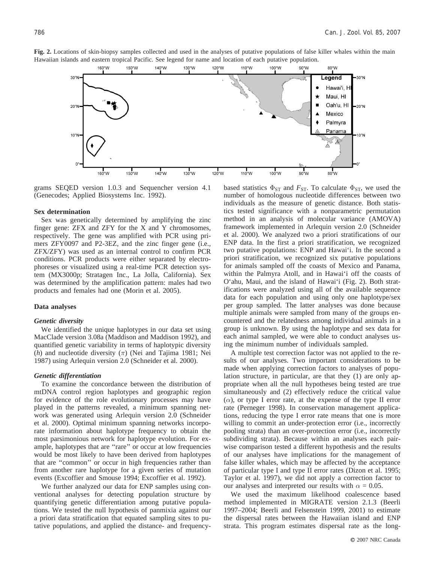

grams SEQED version 1.0.3 and Sequencher version 4.1 (Genecodes; Applied Biosystems Inc. 1992).

#### **Sex determination**

Sex was genetically determined by amplifying the zinc finger gene: ZFX and ZFY for the X and Y chromosomes, respectively. The gene was amplified with PCR using primers ZFY0097 and P2-3EZ, and the zinc finger gene (i.e., ZFX/ZFY) was used as an internal control to confirm PCR conditions. PCR products were either separated by electrophoreses or visualized using a real-time PCR detection system (MX3000p; Stratagen Inc., La Jolla, California). Sex was determined by the amplification pattern: males had two products and females had one (Morin et al. 2005).

#### **Data analyses**

### *Genetic diversity*

We identified the unique haplotypes in our data set using MacClade version 3.08a (Maddison and Maddison 1992), and quantified genetic variability in terms of haplotypic diversity (*h*) and nucleotide diversity  $(\pi)$  (Nei and Tajima 1981; Nei 1987) using Arlequin version 2.0 (Schneider et al. 2000).

#### *Genetic differentiation*

To examine the concordance between the distribution of mtDNA control region haplotypes and geographic region for evidence of the role evolutionary processes may have played in the patterns revealed, a minimum spanning network was generated using Arlequin version 2.0 (Schneider et al. 2000). Optimal minimum spanning networks incorporate information about haplotype frequency to obtain the most parsimonious network for haplotype evolution. For example, haplotypes that are ''rare'' or occur at low frequencies would be most likely to have been derived from haplotypes that are ''common'' or occur in high frequencies rather than from another rare haplotype for a given series of mutation events (Excoffier and Smouse 1994; Excoffier et al. 1992).

We further analyzed our data for ENP samples using conventional analyses for detecting population structure by quantifying genetic differentiation among putative populations. We tested the null hypothesis of panmixia against our a priori data stratification that equated sampling sites to putative populations, and applied the distance- and frequencybased statistics  $\Phi_{ST}$  and  $F_{ST}$ . To calculate  $\Phi_{ST}$ , we used the number of homologous nucleotide differences between two individuals as the measure of genetic distance. Both statistics tested significance with a nonparametric permutation method in an analysis of molecular variance (AMOVA) framework implemented in Arlequin version 2.0 (Schneider et al. 2000). We analyzed two a priori stratifications of our ENP data. In the first a priori stratification, we recognized two putative populations: ENP and Hawai'i. In the second a priori stratification, we recognized six putative populations for animals sampled off the coasts of Mexico and Panama, within the Palmyra Atoll, and in Hawai'i off the coasts of O'ahu, Maui, and the island of Hawai'i (Fig. 2). Both stratifications were analyzed using all of the available sequence data for each population and using only one haplotype/sex per group sampled. The latter analyses was done because multiple animals were sampled from many of the groups encountered and the relatedness among individual animals in a group is unknown. By using the haplotype and sex data for each animal sampled, we were able to conduct analyses using the minimum number of individuals sampled.

A multiple test correction factor was not applied to the results of our analyses. Two important considerations to be made when applying correction factors to analyses of population structure, in particular, are that they (1) are only appropriate when all the null hypotheses being tested are true simultaneously and (2) effectively reduce the critical value  $(\alpha)$ , or type I error rate, at the expense of the type II error rate (Perneger 1998). In conservation management applications, reducing the type I error rate means that one is more willing to commit an under-protection error (i.e., incorrectly pooling strata) than an over-protection error (i.e., incorrectly subdividing strata). Because within an analyses each pairwise comparison tested a different hypothesis and the results of our analyses have implications for the management of false killer whales, which may be affected by the acceptance of particular type I and type II error rates (Dizon et al. 1995; Taylor et al. 1997), we did not apply a correction factor to our analyses and interpreted our results with  $\alpha = 0.05$ .

We used the maximum likelihood coalescence based method implemented in MIGRATE version 2.1.3 (Beerli 1997–2004; Beerli and Felsenstein 1999, 2001) to estimate the dispersal rates between the Hawaiian island and ENP strata. This program estimates dispersal rate as the long-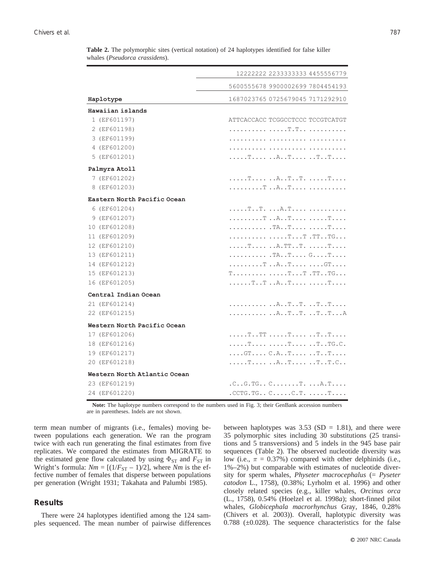| Haplotype<br>Hawaiian islands | 5600555678 9900002699 7804454193<br>1687023765 0725679045 7171292910<br>ATTCACCACC TCGGCCTCCC TCCGTCATGT |
|-------------------------------|----------------------------------------------------------------------------------------------------------|
|                               |                                                                                                          |
|                               |                                                                                                          |
|                               |                                                                                                          |
| 1 (EF601197)                  |                                                                                                          |
| 2 (EF601198)                  |                                                                                                          |
| 3 (EF601199)                  |                                                                                                          |
| 4 (EF601200)                  |                                                                                                          |
| 5 (EF601201)                  | . T   A T   T                                                                                            |
| Palmyra Atoll                 |                                                                                                          |
| 7 (EF601202)                  | T ATT. T                                                                                                 |
| 8 (EF601203)                  |                                                                                                          |
| Eastern North Pacific Ocean   |                                                                                                          |
| 6 (EF601204)                  | TT. A.T                                                                                                  |
| 9 (EF601207)                  | T AT T                                                                                                   |
| 10 (EF601208)                 |                                                                                                          |
| 11 (EF601209)                 | TT .TTTG                                                                                                 |
| 12 (EF601210)                 | T A.TTT. T                                                                                               |
| 13 (EF601211)                 | . TA. . T G T                                                                                            |
| 14 (EF601212)                 | T AT GT                                                                                                  |
| 15 (EF601213)                 | $T \ldots \ldots \ldots \ldots \ldots \ldots T \ldots T$ . TT. . TG.                                     |
| 16 (EF601205)                 | TT AT T                                                                                                  |
| Central Indian Ocean          |                                                                                                          |
| 21 (EF601214)                 |                                                                                                          |
| 22 (EF601215)                 |                                                                                                          |
| Western North Pacific Ocean   |                                                                                                          |
| 17 (EF601206)                 |                                                                                                          |
| 18 (EF601216)                 | T T TTG.C.                                                                                               |
| 19 (EF601217)                 | $\ldots$ . GT $\ldots$ . C.ATTT                                                                          |
| 20 (EF601218)                 | T AT TT.C                                                                                                |
| Western North Atlantic Ocean  |                                                                                                          |
| 23 (EF601219)                 | $.C. . G. TG. . C. T. A. T.$                                                                             |
| 24 (EF601220)                 | . CCTG. TG. . $C. \ldots C.$ T. $\ldots$ . T.                                                            |

**Table 2.** The polymorphic sites (vertical notation) of 24 haplotypes identified for false killer whales (*Pseudorca crassidens*).

**Note:** The haplotype numbers correspond to the numbers used in Fig. 3; their GenBank accession numbers are in parentheses. Indels are not shown.

term mean number of migrants (i.e., females) moving between populations each generation. We ran the program twice with each run generating the final estimates from five replicates. We compared the estimates from MIGRATE to the estimated gene flow calculated by using  $\Phi_{ST}$  and  $F_{ST}$  in Wright's formula:  $Nm = [(1/F_{ST} - 1)/2]$ , where *Nm* is the effective number of females that disperse between populations per generation (Wright 1931; Takahata and Palumbi 1985).

# **Results**

There were 24 haplotypes identified among the 124 samples sequenced. The mean number of pairwise differences between haplotypes was  $3.53$  (SD = 1.81), and there were 35 polymorphic sites including 30 substitutions (25 transitions and 5 transversions) and 5 indels in the 945 base pair sequences (Table 2). The observed nucleotide diversity was low (i.e.,  $\pi = 0.37\%$ ) compared with other delphinids (i.e., 1%–2%) but comparable with estimates of nucleotide diversity for sperm whales, *Physeter macrocephalus* (= *Pyseter catodon* L., 1758), (0.38%; Lyrholm et al. 1996) and other closely related species (e.g., killer whales, *Orcinus orca* (L., 1758), 0.54% (Hoelzel et al. 1998*a*); short-finned pilot whales, *Globicephala macrorhynchus* Gray, 1846, 0.28% (Chivers et al. 2003)). Overall, haplotypic diversity was  $0.788$  ( $\pm 0.028$ ). The sequence characteristics for the false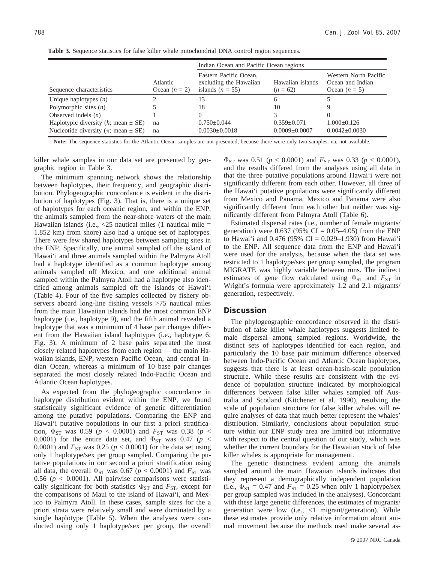|                                                       |                             | Indian Ocean and Pacific Ocean regions                                 |                                |                                                              |  |  |
|-------------------------------------------------------|-----------------------------|------------------------------------------------------------------------|--------------------------------|--------------------------------------------------------------|--|--|
| Sequence characteristics                              | Atlantic<br>Ocean $(n = 2)$ | Eastern Pacific Ocean,<br>excluding the Hawaiian<br>islands $(n = 55)$ | Hawaiian islands<br>$(n = 62)$ | Western North Pacific<br>Ocean and Indian<br>Ocean $(n = 5)$ |  |  |
| Unique haplotypes $(n)$                               |                             | 13                                                                     | 6                              |                                                              |  |  |
| Polymorphic sites $(n)$                               |                             | 18                                                                     | 10                             |                                                              |  |  |
| Observed indels $(n)$                                 |                             |                                                                        |                                |                                                              |  |  |
| Haplotypic diversity $(h; \text{mean} \pm \text{SE})$ | na                          | $0.750 \pm 0.044$                                                      | $0.359 \pm 0.071$              | $1.000 \pm 0.126$                                            |  |  |
| Nucleotide diversity ( $\pi$ ; mean $\pm$ SE)         | na                          | $0.0030 \pm 0.0018$                                                    | $0.0009 \pm 0.0007$            | $0.0042 \pm 0.0030$                                          |  |  |

**Table 3.** Sequence statistics for false killer whale mitochondrial DNA control region sequences.

**Note:** The sequence statistics for the Atlantic Ocean samples are not presented, because there were only two samples. na, not available.

killer whale samples in our data set are presented by geographic region in Table 3.

The minimum spanning network shows the relationship between haplotypes, their frequency, and geographic distribution. Phylogeographic concordance is evident in the distribution of haplotypes (Fig. 3). That is, there is a unique set of haplotypes for each oceanic region, and within the ENP, the animals sampled from the near-shore waters of the main Hawaiian islands (i.e.,  $\langle 25 \rangle$  nautical miles (1 nautical mile = 1.852 km) from shore) also had a unique set of haplotypes. There were few shared haplotypes between sampling sites in the ENP. Specifically, one animal sampled off the island of Hawai'i and three animals sampled within the Palmyra Atoll had a haplotype identified as a common haplotype among animals sampled off Mexico, and one additional animal sampled within the Palmyra Atoll had a haplotype also identified among animals sampled off the islands of Hawai'i (Table 4). Four of the five samples collected by fishery observers aboard long-line fishing vessels >75 nautical miles from the main Hawaiian islands had the most common ENP haplotype (i.e., haplotype 9), and the fifth animal revealed a haplotype that was a minimum of 4 base pair changes different from the Hawaiian island haplotypes (i.e., haplotype 6; Fig. 3). A minimum of 2 base pairs separated the most closely related haplotypes from each region — the main Hawaiian islands, ENP, western Pacific Ocean, and central Indian Ocean, whereas a minimum of 10 base pair changes separated the most closely related Indo-Pacific Ocean and Atlantic Ocean haplotypes.

As expected from the phylogeographic concordance in haplotype distribution evident within the ENP, we found statistically significant evidence of genetic differentiation among the putative populations. Comparing the ENP and Hawai'i putative populations in our first a priori stratification,  $\Phi_{ST}$  was 0.59 ( $p < 0.0001$ ) and  $F_{ST}$  was 0.38 ( $p <$ 0.0001) for the entire data set, and  $\Phi_{ST}$  was 0.47 ( $p <$ 0.0001) and  $F_{ST}$  was 0.25 ( $p < 0.0001$ ) for the data set using only 1 haplotype/sex per group sampled. Comparing the putative populations in our second a priori stratification using all data, the overall  $\Phi_{ST}$  was 0.67 ( $p < 0.0001$ ) and  $F_{ST}$  was 0.56 ( $p < 0.0001$ ). All pairwise comparisons were statistically significant for both statistics  $\Phi_{ST}$  and  $F_{ST}$ , except for the comparisons of Maui to the island of Hawai'i, and Mexico to Palmyra Atoll. In these cases, sample sizes for the a priori strata were relatively small and were dominated by a single haplotype (Table 5). When the analyses were conducted using only 1 haplotype/sex per group, the overall  $\Phi_{ST}$  was 0.51 ( $p < 0.0001$ ) and  $F_{ST}$  was 0.33 ( $p < 0.0001$ ), and the results differed from the analyses using all data in that the three putative populations around Hawai'i were not significantly different from each other. However, all three of the Hawai'i putative populations were significantly different from Mexico and Panama. Mexico and Panama were also significantly different from each other but neither was significantly different from Palmyra Atoll (Table 6).

Estimated dispersal rates (i.e., number of female migrants/ generation) were  $0.637$  (95% CI = 0.05–4.05) from the ENP to Hawai'i and  $0.476$  (95% CI = 0.029–1.930) from Hawai'i to the ENP. All sequence data from the ENP and Hawai'i were used for the analysis, because when the data set was restricted to 1 haplotype/sex per group sampled, the program MIGRATE was highly variable between runs. The indirect estimates of gene flow calculated using  $\Phi_{ST}$  and  $F_{ST}$  in Wright's formula were approximately 1.2 and 2.1 migrants/ generation, respectively.

# **Discussion**

The phylogeographic concordance observed in the distribution of false killer whale haplotypes suggests limited female dispersal among sampled regions. Worldwide, the distinct sets of haplotypes identified for each region, and particularly the 10 base pair minimum difference observed between Indo-Pacific Ocean and Atlantic Ocean haplotypes, suggests that there is at least ocean-basin-scale population structure. While these results are consistent with the evidence of population structure indicated by morphological differences between false killer whales sampled off Australia and Scotland (Kitchener et al. 1990), resolving the scale of population structure for false killer whales will require analyses of data that much better represent the whales' distribution. Similarly, conclusions about population structure within our ENP study area are limited but informative with respect to the central question of our study, which was whether the current boundary for the Hawaiian stock of false killer whales is appropriate for management.

The genetic distinctness evident among the animals sampled around the main Hawaiian islands indicates that they represent a demographically independent population (i.e.,  $\Phi_{ST} = 0.47$  and  $F_{ST} = 0.25$  when only 1 haplotype/sex per group sampled was included in the analyses). Concordant with these large genetic differences, the estimates of migrants/ generation were low (i.e., <1 migrant/generation). While these estimates provide only relative information about animal movement because the methods used make several as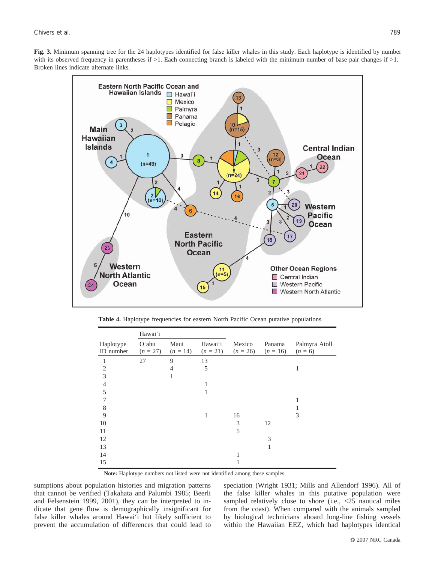**Fig. 3.** Minimum spanning tree for the 24 haplotypes identified for false killer whales in this study. Each haplotype is identified by number with its observed frequency in parentheses if  $>1$ . Each connecting branch is labeled with the minimum number of base pair changes if  $>1$ . Broken lines indicate alternate links.



**Table 4.** Haplotype frequencies for eastern North Pacific Ocean putative populations.

|                        | Hawai'i             |                    |                       |                      |                      |                            |
|------------------------|---------------------|--------------------|-----------------------|----------------------|----------------------|----------------------------|
| Haplotype<br>ID number | O'ahu<br>$(n = 27)$ | Maui<br>$(n = 14)$ | Hawai'i<br>$(n = 21)$ | Mexico<br>$(n = 26)$ | Panama<br>$(n = 16)$ | Palmyra Atoll<br>$(n = 6)$ |
| 1                      | 27                  | 9                  | 13                    |                      |                      |                            |
| $\overline{2}$         |                     | $\overline{4}$     | 5                     |                      |                      | 1                          |
| 3                      |                     | 1                  |                       |                      |                      |                            |
| $\overline{4}$         |                     |                    |                       |                      |                      |                            |
| 5                      |                     |                    |                       |                      |                      |                            |
| 7                      |                     |                    |                       |                      |                      |                            |
| 8                      |                     |                    |                       |                      |                      |                            |
| 9                      |                     |                    | 1                     | 16                   |                      | 3                          |
| 10                     |                     |                    |                       | 3                    | 12                   |                            |
| 11                     |                     |                    |                       | 5                    |                      |                            |
| 12                     |                     |                    |                       |                      | 3                    |                            |
| 13                     |                     |                    |                       |                      | 1                    |                            |
| 14                     |                     |                    |                       |                      |                      |                            |
| 15                     |                     |                    |                       |                      |                      |                            |

**Note:** Haplotype numbers not listed were not identified among these samples.

sumptions about population histories and migration patterns that cannot be verified (Takahata and Palumbi 1985; Beerli and Felsenstein 1999, 2001), they can be interpreted to indicate that gene flow is demographically insignificant for false killer whales around Hawai'i but likely sufficient to prevent the accumulation of differences that could lead to speciation (Wright 1931; Mills and Allendorf 1996). All of the false killer whales in this putative population were sampled relatively close to shore (i.e., <25 nautical miles from the coast). When compared with the animals sampled by biological technicians aboard long-line fishing vessels within the Hawaiian EEZ, which had haplotypes identical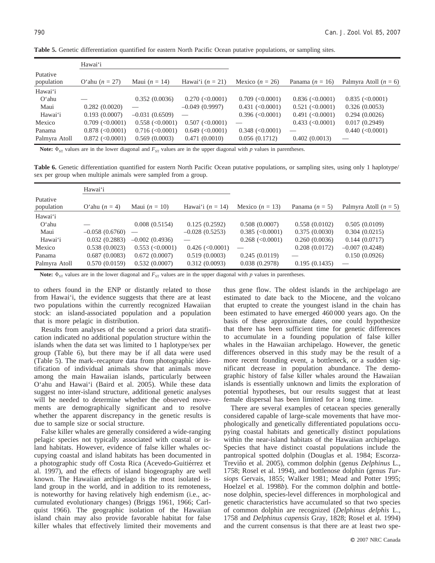|                        | Hawai'i               |                       |                       |                       |                       |                         |
|------------------------|-----------------------|-----------------------|-----------------------|-----------------------|-----------------------|-------------------------|
| Putative<br>population | O'ahu $(n = 27)$      | Maui $(n = 14)$       | Hawai'i $(n = 21)$    | Mexico $(n = 26)$     | Panama $(n = 16)$     | Palmyra Atoll $(n = 6)$ |
| Hawai'i                |                       |                       |                       |                       |                       |                         |
| $O'$ ahu               |                       | 0.352(0.0036)         | $0.270 \; (<0.0001)$  | $0.709$ (< $0.0001$ ) | $0.836 \leq 0.0001$   | $0.835$ (< $0.0001$ )   |
| Maui                   | 0.282(0.0020)         |                       | $-0.049(0.9997)$      | $0.431$ (< $0.0001$ ) | $0.521$ (< $0.0001$ ) | 0.326(0.0053)           |
| Hawai'i                | 0.193(0.0007)         | $-0.031(0.6509)$      |                       | $0.396 \, (<0.0001)$  | 0.491 (< 0.0001)      | 0.294(0.0026)           |
| Mexico                 | $0.709$ (< $0.0001$ ) | $0.558$ (< $0.0001$ ) | 0.507 (< 0.0001)      |                       | $0.433$ (< $0.0001$ ) | 0.017(0.2949)           |
| Panama                 | $0.878$ (< $0.0001$ ) | $0.716$ (< $0.0001$ ) | $0.649$ (< $0.0001$ ) | $0.348$ (< $0.0001$ ) |                       | 0.440 (< 0.0001)        |
| Palmyra Atoll          | $0.872$ (< $0.0001$ ) | 0.569(0.0003)         | 0.471(0.0010)         | 0.056(0.1712)         | 0.402(0.0013)         |                         |

**Table 5.** Genetic differentiation quantified for eastern North Pacific Ocean putative populations, or sampling sites.

**Note:**  $\Phi_{ST}$  values are in the lower diagonal and  $F_{ST}$  values are in the upper diagonal with *p* values in parentheses.

**Table 6.** Genetic differentiation quantified for eastern North Pacific Ocean putative populations, or sampling sites, using only 1 haplotype/ sex per group when multiple animals were sampled from a group.

|                        | Hawai'i          |                       |                       |                       |                  |                         |
|------------------------|------------------|-----------------------|-----------------------|-----------------------|------------------|-------------------------|
| Putative<br>population | O'ahu $(n = 4)$  | Maui $(n = 10)$       | Hawai'i $(n = 14)$    | Mexico $(n = 13)$     | Panama $(n = 5)$ | Palmyra Atoll $(n = 5)$ |
| Hawai'i                |                  |                       |                       |                       |                  |                         |
| $O'$ ahu               |                  | 0.008(0.5154)         | 0.125(0.2592)         | 0.508(0.0007)         | 0.558(0.0102)    | 0.505(0.0109)           |
| Maui                   | $-0.058(0.6760)$ |                       | $-0.028(0.5253)$      | $0.385$ (< $0.0001$ ) | 0.375(0.0030)    | 0.304(0.0215)           |
| Hawai'i                | 0.032(0.2883)    | $-0.002(0.4936)$      |                       | $0.268$ (< $0.0001$ ) | 0.260(0.0036)    | 0.144(0.0717)           |
| Mexico                 | 0.538(0.0023)    | $0.553$ (< $0.0001$ ) | $0.426$ (< $0.0001$ ) |                       | 0.208(0.0172)    | $-0.007(0.4248)$        |
| Panama                 | 0.687(0.0083)    | 0.672(0.0007)         | 0.519(0.0003)         | 0.245(0.0119)         |                  | 0.150(0.0926)           |
| Palmyra Atoll          | 0.570(0.0159)    | 0.532(0.0007)         | 0.312(0.0093)         | 0.038(0.2978)         | 0.195(0.1435)    |                         |

**Note:**  $\Phi_{ST}$  values are in the lower diagonal and  $F_{ST}$  values are in the upper diagonal with *p* values in parentheses.

to others found in the ENP or distantly related to those from Hawai'i, the evidence suggests that there are at least two populations within the currently recognized Hawaiian stock: an island-associated population and a population that is more pelagic in distribution.

Results from analyses of the second a priori data stratification indicated no additional population structure within the islands when the data set was limited to 1 haplotype/sex per group (Table 6), but there may be if all data were used (Table 5). The mark–recapture data from photographic identification of individual animals show that animals move among the main Hawaiian islands, particularly between O'ahu and Hawai'i (Baird et al. 2005). While these data suggest no inter-island structure, additional genetic analyses will be needed to determine whether the observed movements are demographically significant and to resolve whether the apparent discrepancy in the genetic results is due to sample size or social structure.

False killer whales are generally considered a wide-ranging pelagic species not typically associated with coastal or island habitats. However, evidence of false killer whales occupying coastal and island habitats has been documented in a photographic study off Costa Rica (Acevedo-Guitiérrez et al. 1997), and the effects of island biogeography are well known. The Hawaiian archipelago is the most isolated island group in the world, and in addition to its remoteness, is noteworthy for having relatively high endemism (i.e., accumulated evolutionary changes) (Briggs 1961, 1966; Carlquist 1966). The geographic isolation of the Hawaiian island chain may also provide favorable habitat for false killer whales that effectively limited their movements and thus gene flow. The oldest islands in the archipelago are estimated to date back to the Miocene, and the volcano that erupted to create the youngest island in the chain has been estimated to have emerged 460 000 years ago. On the basis of these approximate dates, one could hypothesize that there has been sufficient time for genetic differences to accumulate in a founding population of false killer whales in the Hawaiian archipelago. However, the genetic differences observed in this study may be the result of a more recent founding event, a bottleneck, or a sudden significant decrease in population abundance. The demographic history of false killer whales around the Hawaiian islands is essentially unknown and limits the exploration of potential hypotheses, but our results suggest that at least female dispersal has been limited for a long time.

There are several examples of cetacean species generally considered capable of large-scale movements that have morphologically and genetically differentiated populations occupying coastal habitats and genetically distinct populations within the near-island habitats of the Hawaiian archipelago. Species that have distinct coastal populations include the pantropical spotted dolphin (Douglas et al. 1984; Escorza-Treviño et al. 2005), common dolphin (genus *Delphinus* L., 1758; Rosel et al. 1994), and bottlenose dolphin (genus *Tursiops* Gervais, 1855; Walker 1981; Mead and Potter 1995; Hoelzel et al. 1998*b*). For the common dolphin and bottlenose dolphin, species-level differences in morphological and genetic characteristics have accumulated so that two species of common dolphin are recognized (*Delphinus delphis* L., 1758 and *Delphinus capensis* Gray, 1828; Rosel et al. 1994) and the current consensus is that there are at least two spe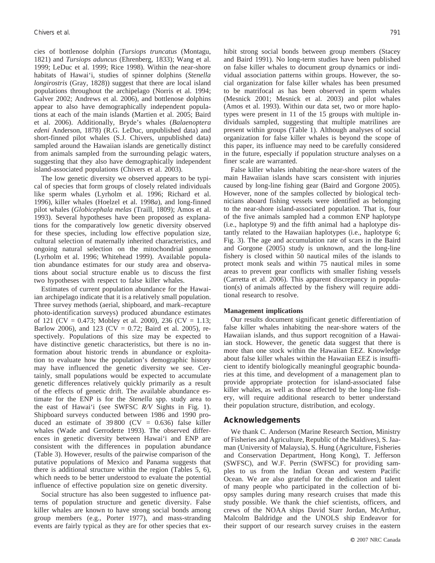cies of bottlenose dolphin (*Tursiops truncatus* (Montagu, 1821) and *Tursiops aduncus* (Ehrenberg, 1833); Wang et al. 1999; LeDuc et al. 1999; Rice 1998). Within the near-shore habitats of Hawai'i, studies of spinner dolphins (*Stenella longirostris* (Gray, 1828)) suggest that there are local island populations throughout the archipelago (Norris et al. 1994; Galver 2002; Andrews et al. 2006), and bottlenose dolphins appear to also have demographically independent populations at each of the main islands (Martien et al. 2005; Baird et al. 2006). Additionally, Bryde's whales (*Balaenoptera edeni* Anderson, 1878) (R.G. LeDuc, unpublished data) and short-finned pilot whales (S.J. Chivers, unpublished data) sampled around the Hawaiian islands are genetically distinct from animals sampled from the surrounding pelagic waters, suggesting that they also have demographically independent island-associated populations (Chivers et al. 2003).

The low genetic diversity we observed appears to be typical of species that form groups of closely related individuals like sperm whales (Lyrholm et al. 1996; Richard et al. 1996), killer whales (Hoelzel et al. 1998*a*), and long-finned pilot whales (*Globicephala melas* (Traill, 1809); Amos et al. 1993). Several hypotheses have been proposed as explanations for the comparatively low genetic diversity observed for these species, including low effective population size, cultural selection of maternally inherited characteristics, and ongoing natural selection on the mitochondrial genome (Lyrholm et al. 1996; Whitehead 1999). Available population abundance estimates for our study area and observations about social structure enable us to discuss the first two hypotheses with respect to false killer whales.

Estimates of current population abundance for the Hawaiian archipelago indicate that it is a relatively small population. Three survey methods (aerial, shipboard, and mark–recapture photo-identification surveys) produced abundance estimates of 121 (CV = 0.473; Mobley et al. 2000), 236 (CV = 1.13; Barlow 2006), and 123 (CV = 0.72; Baird et al. 2005), respectively. Populations of this size may be expected to have distinctive genetic characteristics, but there is no information about historic trends in abundance or exploitation to evaluate how the population's demographic history may have influenced the genetic diversity we see. Certainly, small populations would be expected to accumulate genetic differences relatively quickly primarily as a result of the effects of genetic drift. The available abundance estimate for the ENP is for the *Stenella* spp. study area to the east of Hawai'i (see SWFSC *R/V* Sights in Fig. 1). Shipboard surveys conducted between 1986 and 1990 produced an estimate of  $39\,800$  (CV = 0.636) false killer whales (Wade and Gerrodette 1993). The observed differences in genetic diversity between Hawai'i and ENP are consistent with the differences in population abundance (Table 3). However, results of the pairwise comparison of the putative populations of Mexico and Panama suggests that there is additional structure within the region (Tables 5, 6), which needs to be better understood to evaluate the potential influence of effective population size on genetic diversity.

Social structure has also been suggested to influence patterns of population structure and genetic diversity. False killer whales are known to have strong social bonds among group members (e.g., Porter 1977), and mass-stranding events are fairly typical as they are for other species that exhibit strong social bonds between group members (Stacey and Baird 1991). No long-term studies have been published on false killer whales to document group dynamics or individual association patterns within groups. However, the social organization for false killer whales has been presumed to be matrifocal as has been observed in sperm whales (Mesnick 2001; Mesnick et al. 2003) and pilot whales (Amos et al. 1993). Within our data set, two or more haplotypes were present in 11 of the 15 groups with multiple individuals sampled, suggesting that multiple matrilines are present within groups (Table 1). Although analyses of social organization for false killer whales is beyond the scope of this paper, its influence may need to be carefully considered in the future, especially if population structure analyses on a finer scale are warranted.

False killer whales inhabiting the near-shore waters of the main Hawaiian islands have scars consistent with injuries caused by long-line fishing gear (Baird and Gorgone 2005). However, none of the samples collected by biological technicians aboard fishing vessels were identified as belonging to the near-shore island-associated population. That is, four of the five animals sampled had a common ENP haplotype (i.e., haplotype 9) and the fifth animal had a haplotype distantly related to the Hawaiian haplotypes (i.e., haplotype 6; Fig. 3). The age and accumulation rate of scars in the Baird and Gorgone (2005) study is unknown, and the long-line fishery is closed within 50 nautical miles of the islands to protect monk seals and within 75 nautical miles in some areas to prevent gear conflicts with smaller fishing vessels (Carretta et al. 2006). This apparent discrepancy in population(s) of animals affected by the fishery will require additional research to resolve.

#### **Management implications**

Our results document significant genetic differentiation of false killer whales inhabiting the near-shore waters of the Hawaiian islands, and thus support recognition of a Hawaiian stock. However, the genetic data suggest that there is more than one stock within the Hawaiian EEZ. Knowledge about false killer whales within the Hawaiian EEZ is insufficient to identify biologically meaningful geographic boundaries at this time, and development of a management plan to provide appropriate protection for island-associated false killer whales, as well as those affected by the long-line fishery, will require additional research to better understand their population structure, distribution, and ecology.

## **Acknowledgements**

We thank C. Anderson (Marine Research Section, Ministry of Fisheries and Agriculture, Republic of the Maldives), S. Jaaman (University of Malaysia), S. Hung (Agriculture, Fisheries and Conservation Department, Hong Kong), T. Jefferson (SWFSC), and W.F. Perrin (SWFSC) for providing samples to us from the Indian Ocean and western Pacific Ocean. We are also grateful for the dedication and talent of many people who participated in the collection of biopsy samples during many research cruises that made this study possible. We thank the chief scientists, officers, and crews of the NOAA ships David Starr Jordan, McArthur, Malcolm Baldridge and the UNOLS ship Endeavor for their support of our research survey cruises in the eastern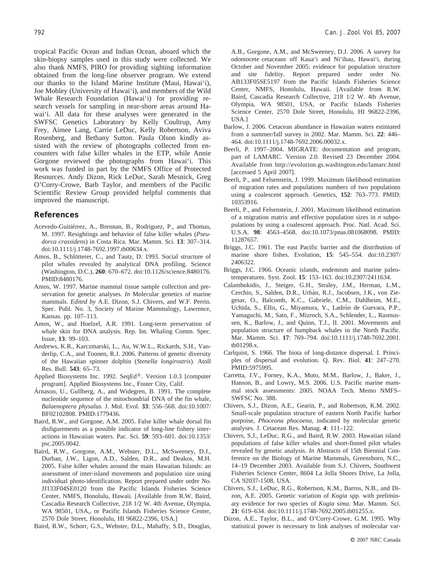tropical Pacific Ocean and Indian Ocean, aboard which the skin-biopsy samples used in this study were collected. We also thank NMFS, PIRO for providing sighting information obtained from the long-line observer program. We extend our thanks to the Island Marine Institute (Maui, Hawai'i), Joe Mobley (University of Hawai'i), and members of the Wild Whale Research Foundation (Hawai'i) for providing research vessels for sampling in near-shore areas around Hawai'i. All data for these analyses were generated in the SWFSC Genetics Laboratory by Kelly Coultrup, Amy Frey, Aimee Lang, Carrie LeDuc, Kelly Robertson, Aviva Rosenberg, and Bethany Sutton. Paula Olson kindly assisted with the review of photographs collected from encounters with false killer whales in the ETP, while Annie Gorgone reviewed the photographs from Hawai'i. This work was funded in part by the NMFS Office of Protected Resources. Andy Dizon, Rick LeDuc, Sarah Mesnick, Greg O'Corry-Crowe, Barb Taylor, and members of the Pacific Scientific Review Group provided helpful comments that improved the manuscript.

# **References**

- Acevedo-Guitiérrez, A., Brennan, B., Rodriguez, P., and Thomas, M. 1997. Resightings and behavior of false killer whales (*Pseudorca crassidens*) in Costa Rica. Mar. Mamm. Sci. **13**: 307–314. doi:10.1111/j.1748-7692.1997.tb00634.x.
- Amos, B., Schlötterer, C., and Tautz, D. 1993. Social structure of pilot whales revealed by analytical DNA profiling. Science (Washington, D.C.), **260**: 670–672. doi:10.1126/science.8480176. PMID:8480176.
- Amos, W. 1997. Marine mammal tissue sample collection and preservation for genetic analyses. *In* Molecular genetics of marine mammals. *Edited by* A.E. Dizon, S.J. Chivers, and W.F. Perrin. Spec. Publ. No. 3, Society of Marine Mammalogy, Lawrence, Kansas. pp. 107–113.
- Amos, W., and Hoelzel, A.R. 1991. Long-term preservation of whale skin for DNA analysis. Rep. Int. Whaling Comm. Spec. Issue, **13**: 99–103.
- Andrews, K.R., Karczmarski, L., Au, W.W.L., Rickards, S.H., Vanderlip, C.A., and Toonen, R.J. 2006. Patterns of genetic diversity of the Hawaiian spinner dolphin (*Stenella longirostris*). Atoll Res. Bull. **543**: 65–73.
- Applied Biosystems Inc. 1992. SeqEd<sup>®</sup>. Version 1.0.3 [computer program]. Applied Biosystems Inc., Foster City, Calif.
- Árnason, U., Gullberg, A., and Widegren, B. 1991. The complete nucleotide sequence of the mitochondrial DNA of the fin whale, *Balaenoptera physalus*. J. Mol. Evol. **33**: 556–568. doi:10.1007/ BF02102808. PMID:1779436.
- Baird, R.W., and Gorgone, A.M. 2005. False killer whale dorsal fin disfigurements as a possible indicator of long-line fishery interactions in Hawaiian waters. Pac. Sci. **59**: 593–601. doi:10.1353/ psc.2005.0042.
- Baird, R.W., Gorgone, A.M., Webster, D.L., McSweeney, D.J., Durban, J.W., Ligon, A.D., Salden, D.R., and Deakos, M.H. 2005. False killer whales around the main Hawaiian Islands: an assessment of inter-island movements and population size using individual photo-identification. Report prepared under order No. JJ133F04SE0120 from the Pacific Islands Fisheries Science Center, NMFS, Honolulu, Hawaii. [Available from R.W. Baird, Cascadia Research Collective, 218 1/2 W. 4th Avenue, Olympia, WA 98501, USA,, or Pacific Islands Fisheries Science Center, 2570 Dole Street, Honolulu, HI 96822-2396, USA.]

Baird, R.W., Schorr, G.S., Webster, D.L., Mahaffy, S.D., Douglas,

A.B., Gorgone, A.M., and McSweeney, D.J. 2006. A survey for odontocete cetaceans off Kaua'i and Ni'ihau, Hawai'i, during October and November 2005: evidence for population structure and site fidelity. Report prepared under order No. AB133F05SE5197 from the Pacific Islands Fisheries Science Center, NMFS, Honolulu, Hawaii. [Available from R.W. Baird, Cascadia Research Collective, 218 1/2 W. 4th Avenue, Olympia, WA 98501, USA, or Pacific Islands Fisheries Science Center, 2570 Dole Street, Honolulu, HI 96822-2396, USA.]

- Barlow, J. 2006. Cetacean abundance in Hawaiian waters estimated from a summer/fall survey in 2002. Mar. Mamm. Sci. **22**: 446– 464. doi:10.1111/j.1748-7692.2006.00032.x.
- Beerli, P. 1997–2004. MIGRATE: documentation and program, part of LAMARC. Version 2.0. Revised 23 December 2004. Available from http://evolution.gs.washington.edu/lamarc.html [accessed 5 April 2007].
- Beerli, P., and Felsenstein, J. 1999. Maximum likelihood estimation of migration rates and populations numbers of two populations using a coalescent approach. Genetics, **152**: 763–773. PMID: 10353916.
- Beerli, P., and Felsenstein, J. 2001. Maximum likelihood estimation of a migration matrix and effective population sizes in *n* subpopulations by using a coalescent approach. Proc. Natl. Acad. Sci. U.S.A. **98**: 4563–4568. doi:10.1073/pnas.081068098. PMID: 11287657.
- Briggs, J.C. 1961. The east Pacific barrier and the distribution of marine shore fishes. Evolution, **15**: 545–554. doi:10.2307/ 2406322.
- Briggs, J.C. 1966. Oceanic islands, endemism and marine paleotemperatures. Syst. Zool. **15**: 153–163. doi:10.2307/2411634.
- Calambokidis, J., Steiger, G.H., Straley, J.M., Herman, L.M., Cerchio, S., Salden, D.R., Urbán, R.J., Jacobsen, J.K., von Ziegesar, O., Balcomb, K.C., Gabriele, C.M., Dahlheim, M.E., Uchida, S., Ellis, G., Miyamura, Y., Ladrón de Guevara, P.P., Yamaguchi, M., Sato, F., Mizroch, S.A., Schlender, L., Rasmussen, K., Barlow, J., and Quinn, T.J., II. 2001. Movements and population structure of humpback whales in the North Pacific. Mar. Mamm. Sci. **17**: 769–794. doi:10.1111/j.1748-7692.2001. tb01298.x.
- Carlquist, S. 1966. The biota of long-distance dispersal. I. Principles of dispersal and evolution. Q. Rev. Biol. **41**: 247–270. PMID:5975995.
- Carretta, J.V., Forney, K.A., Muto, M.M., Barlow, J., Baker, J., Hanson, B., and Lowry, M.S. 2006. U.S. Pacific marine mammal stock assessments: 2005. NOAA Tech. Memo NMFS– SWFSC No. 388.
- Chivers, S.J., Dizon, A.E., Gearin, P., and Robertson, K.M. 2002. Small-scale population structure of eastern North Pacific harbor porpoise, *Phoceona phocoena*, indicated by molecular genetic analyses. J. Cetacean Res. Manag. **4**: 111–122.
- Chivers, S.J., LeDuc, R.G., and Baird, R.W. 2003. Hawaiian island populations of false killer whales and short-finned pilot whales revealed by genetic analysis. *In* Abstracts of 15th Biennial Conference on the Biology of Marine Mammals, Greensboro, N.C., 14–19 December 2003. Available from S.J. Chivers, Southwest Fisheries Science Center, 8604 La Jolla Shores Drive, La Jolla, CA 92037-1508, USA.
- Chivers, S.J., LeDuc, R.G., Robertson, K.M., Barros, N.B., and Dizon, A.E. 2005. Genetic variation of *Kogia* spp. with preliminary evidence for two species of *Kogia sima*. Mar. Mamm. Sci. **21**: 619–634. doi:10.1111/j.1748-7692.2005.tb01255.x.
- Dizon, A.E., Taylor, B.L., and O'Corry-Crowe, G.M. 1995. Why statistical power is necessary to link analyses of molecular var-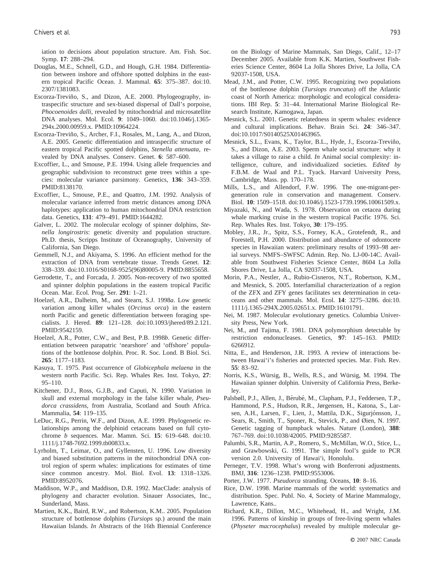iation to decisions about population structure. Am. Fish. Soc. Symp. **17**: 288–294.

- Douglas, M.E., Schnell, G.D., and Hough, G.H. 1984. Differentiation between inshore and offshore spotted dolphins in the eastern tropical Pacific Ocean. J. Mammal. **65**: 375–387. doi:10. 2307/1381083.
- Escorza-Treviño, S., and Dizon, A.E. 2000. Phylogeography, intraspecific structure and sex-biased dispersal of Dall's porpoise, *Phocoenoides dalli*, revealed by mitochondrial and microsatellite DNA analyses. Mol. Ecol. **9**: 1049–1060. doi:10.1046/j.1365- 294x.2000.00959.x. PMID:10964224.
- Escorza-Treviño, S., Archer, F.I., Rosales, M., Lang, A., and Dizon, A.E. 2005. Genetic differentiation and intraspecific structure of eastern tropical Pacific spotted dolphins, *Stenella attenuata*, revealed by DNA analyses. Conserv. Genet. **6**: 587–600.
- Excoffier, L., and Smouse, P.E. 1994. Using allele frequencies and geographic subdivision to reconstruct gene trees within a species: molecular variance parsimony. Genetics, **136**: 343–359. PMID:8138170.
- Excoffier, L., Smouse, P.E., and Quattro, J.M. 1992. Analysis of molecular variance inferred from metric distances among DNA haplotypes: application to human mitochondrial DNA restriction data. Genetics, **131**: 479–491. PMID:1644282.
- Galver, L. 2002. The molecular ecology of spinner dolphins, *Stenella longirostris*: genetic diversity and population structure. Ph.D. thesis, Scripps Institute of Oceanography, University of California, San Diego.
- Gemmell, N.J., and Akiyama, S. 1996. An efficient method for the extraction of DNA from vertebrate tissue. Trends Genet. **12**: 338–339. doi:10.1016/S0168-9525(96)80005-9. PMID:8855658.
- Gerrodette, T., and Forcada, J. 2005. Non-recovery of two spotted and spinner dolphin populations in the eastern tropical Pacific Ocean. Mar. Ecol. Prog. Ser. **291**: 1–21.
- Hoelzel, A.R., Dalheim, M., and Stearn, S.J. 1998*a*. Low genetic variation among killer whales (*Orcinus orca*) in the eastern north Pacific and genetic differentiation between foraging specialists. J. Hered. **89**: 121–128. doi:10.1093/jhered/89.2.121. PMID:9542159.
- Hoelzel, A.R., Potter, C.W., and Best, P.B. 1998*b*. Genetic differentiation between parapatric 'nearshore' and 'offshore' populations of the bottlenose dolphin. Proc. R. Soc. Lond. B Biol. Sci. **265**: 1177–1183.
- Kasuya, T. 1975. Past occurrence of *Globicephala melaena* in the western north Pacific. Sci. Rep. Whales Res. Inst. Tokyo, **27**: 95–110.
- Kitchener, D.J., Ross, G.J.B., and Caputi, N. 1990. Variation in skull and external morphology in the false killer whale, *Pseudorca crassidens*, from Australia, Scotland and South Africa. Mammalia, **54**: 119–135.
- LeDuc, R.G., Perrin, W.F., and Dizon, A.E. 1999. Phylogenetic relationships among the delphinid cetaceans based on full cytochrome *b* sequences. Mar. Mamm. Sci. **15**: 619–648. doi:10. 1111/j.1748-7692.1999.tb00833.x.
- Lyrholm, T., Leimar, O., and Gyllensten, U. 1996. Low diversity and biased substitution patterns in the mitochondrial DNA control region of sperm whales: implications for estimates of time since common ancestry. Mol. Biol. Evol. **13**: 1318–1326. PMID:8952076.
- Maddison, W.P., and Maddison, D.R. 1992. MacClade: analysis of phylogeny and character evolution. Sinauer Associates, Inc., Sunderland, Mass.
- Martien, K.K., Baird, R.W., and Robertson, K.M.. 2005. Population structure of bottlenose dolphins (*Tursiops* sp.) around the main Hawaiian Islands. *In* Abstracts of the 16th Biennial Conference

on the Biology of Marine Mammals, San Diego, Calif., 12–17 December 2005. Available from K.K. Martien, Southwest Fisheries Science Center, 8604 La Jolla Shores Drive, La Jolla, CA 92037-1508, USA.

- Mead, J.M., and Potter, C.W. 1995. Recognizing two populations of the bottlenose dolphin (*Tursiops truncatus*) off the Atlantic coast of North America: morphologic and ecological considerations. IBI Rep. **5**: 31–44. International Marine Biological Research Institute, Kamogawa, Japan.
- Mesnick, S.L. 2001. Genetic relatedness in sperm whales: evidence and cultural implications. Behav. Brain Sci. **24**: 346–347. doi:10.1017/S0140525X01463965.
- Mesnick, S.L., Evans, K., Taylor, B.L., Hyde, J., Escorza-Treviño, S., and Dizon, A.E. 2003. Sperm whale social structure: why it takes a village to raise a child. *In* Animal social complexity: intelligence, culture, and individualized societies. *Edited by* F.B.M. de Waal and P.L. Tyack. Harvard University Press, Cambridge, Mass. pp. 170–178.
- Mills, L.S., and Allendorf, F.W. 1996. The one-migrant-pergeneration rule in conservation and management. Conserv. Biol. **10**: 1509–1518. doi:10.1046/j.1523-1739.1996.10061509.x.
- Miyazaki, N., and Wada, S. 1978. Observation on cetacea during whale marking cruise in the western tropical Pacific 1976. Sci. Rep. Whales Res. Inst. Tokyo, **30**: 179–195.
- Mobley, J.R., Jr., Spitz, S.S., Forney, K.A., Grotefendt, R., and Forestell, P.H. 2000. Distribution and abundance of odontocete species in Hawaiian waters: preliminary results of 1993–98 aerial surveys. NMFS–SWFSC Admin. Rep. No. LJ-00-14C. Available from Southwest Fisheries Science Center, 8604 La Jolla Shores Drive, La Jolla, CA 92037-1508, USA.
- Morin, P.A., Nestler, A., Rubio-Cisneros, N.T., Robertson, K.M., and Mesnick, S. 2005. Interfamilial characterization of a region of the ZFX and ZFY genes facilitates sex determination in cetaceans and other mammals. Mol. Ecol. **14**: 3275–3286. doi:10. 1111/j.1365-294X.2005.02651.x. PMID:16101791.
- Nei, M. 1987. Molecular evolutionary genetics. Columbia University Press, New York.
- Nei, M., and Tajima, F. 1981. DNA polymorphism detectable by restriction endonucleases. Genetics, **97**: 145–163. PMID: 6266912.
- Nitta, E., and Henderson, J.R. 1993. A review of interactions between Hawai'i's fisheries and protected species. Mar. Fish. Rev. **55**: 83–92.
- Norris, K.S., Würsig, B., Wells, R.S., and Würsig, M. 1994. The Hawaiian spinner dolphin. University of California Press, Berkeley.
- Palsbøll, P.J., Allen, J., Bérubé, M., Clapham, P.J., Feddersen, T.P., Hammond, P.S., Hudson, R.R., Jørgensen, H., Katona, S., Larsen, A.H., Larsen, F., Lien, J., Mattila, D.K., Sigurjónsson, J., Sears, R., Smith, T., Sponer, R., Stevick, P., and Øien, N. 1997. Genetic tagging of humpback whales. Nature (London), **388**: 767–769. doi:10.1038/42005. PMID:9285587.
- Palumbi, S.R., Martin, A.P., Romero, S., McMillan, W.O., Stice, L., and Grawbowski, G. 1991. The simple fool's guide to PCR version 2.0. University of Hawai'i, Honolulu.
- Perneger, T.V. 1998. What's wrong with Bonferroni adjustments. BMJ, **316**: 1236–1238. PMID:9553006.
- Porter, J.W. 1977. *Pseudorca* stranding. Oceans, **10**: 8–16.
- Rice, D.W. 1998. Marine mammals of the world: systematics and distribution. Spec. Publ. No. 4, Society of Marine Mammalogy, Lawrence, Kans..
- Richard, K.R., Dillon, M.C., Whitehead, H., and Wright, J.M. 1996. Patterns of kinship in groups of free-living sperm whales (*Physeter macrocephalus*) revealed by multiple molecular ge-